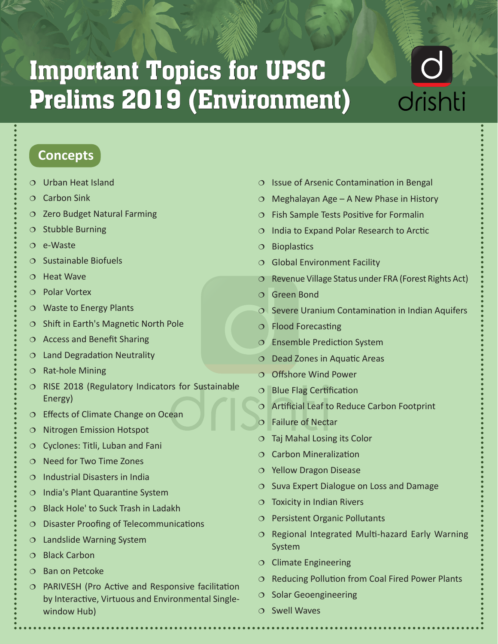# Important Topics for UPSC Prelims 2019 (Environment)

# drishti

#### **Concepts**

- Urban Heat Island
- $O$  Carbon Sink
- $O$  Zero Budget Natural Farming
- $\circ$  Stubble Burning
- $O$  e-Waste
- $O$  Sustainable Biofuels
- $O$  Heat Wave
- Polar Vortex
- Waste to Energy Plants
- $\circ$  Shift in Earth's Magnetic North Pole
- $\circ$  Access and Benefit Sharing
- $O$  Land Degradation Neutrality
- $O$  Rat-hole Mining
- $\circ$  RISE 2018 (Regulatory Indicators for Sustainable Energy)
- Effects of Climate Change on Ocean
- $O$  Nitrogen Emission Hotspot
- $\circ$  Cyclones: Titli, Luban and Fani
- $O$  Need for Two Time Zones
- $O$  Industrial Disasters in India
- $O$  India's Plant Quarantine System
- $\circ$  Black Hole' to Suck Trash in Ladakh
- Disaster Proofing of Telecommunications
- $O$  Landslide Warning System
- O Black Carbon
- $O$  Ban on Petcoke
- PARIVESH (Pro Active and Responsive facilitation by Interactive, Virtuous and Environmental Singlewindow Hub)
- $O$  Issue of Arsenic Contamination in Bengal
- $\circ$  Meghalayan Age A New Phase in History
- $O$  Fish Sample Tests Positive for Formalin
- $O$  India to Expand Polar Research to Arctic
- $O$  Bioplastics
- $\circ$  Global Environment Facility
- $\circ$  Revenue Village Status under FRA (Forest Rights Act)
- Green Bond
- $\circ$  Severe Uranium Contamination in Indian Aquifers
- Flood Forecasting
- $\circ$  Ensemble Prediction System
- $\circ$  Dead Zones in Aquatic Areas
- O Offshore Wind Power
- $O$  Blue Flag Certification
- Artificial Leaf to Reduce Carbon Footprint
- Failure of Nectar
- Taj Mahal Losing its Color
- $O$  Carbon Mineralization
- Yellow Dragon Disease
- $\circ$  Suva Expert Dialogue on Loss and Damage
- $\circ$  Toxicity in Indian Rivers
- O Persistent Organic Pollutants
- $O$  Regional Integrated Multi-hazard Early Warning System
- $O$  Climate Engineering
- $O$  Reducing Pollution from Coal Fired Power Plants
- $O$  Solar Geoengineering
- $O$  Swell Waves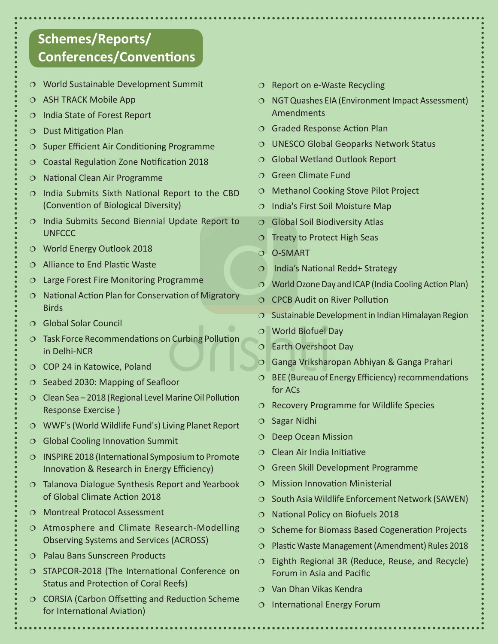### **Schemes/Reports/ Conferences/Conventions**

- World Sustainable Development Summit
- $\circ$  ASH TRACK Mobile App
- $O$  India State of Forest Report
- $O$  Dust Mitigation Plan
- $\circ$  Super Efficient Air Conditioning Programme
- Coastal Regulation Zone Notification 2018
- $O$  National Clean Air Programme
- $O$  India Submits Sixth National Report to the CBD (Convention of Biological Diversity)
- $\circ$  India Submits Second Biennial Update Report to **UNFCCC**
- World Energy Outlook 2018
- Alliance to End Plastic Waste
- Large Forest Fire Monitoring Programme
- $O$  National Action Plan for Conservation of Migratory **Birds**
- Global Solar Council
- Task Force Recommendations on Curbing Pollution in Delhi-NCR
- O COP 24 in Katowice, Poland
- $\circ$  Seabed 2030: Mapping of Seafloor
- $O$  Clean Sea 2018 (Regional Level Marine Oil Pollution Response Exercise )
- WWF's (World Wildlife Fund's) Living Planet Report
- $\circ$  Global Cooling Innovation Summit
- $O$  INSPIRE 2018 (International Symposium to Promote Innovation & Research in Energy Efficiency)
- $\circ$  Talanova Dialogue Synthesis Report and Yearbook of Global Climate Action 2018
- Montreal Protocol Assessment
- O Atmosphere and Climate Research-Modelling Observing Systems and Services (ACROSS)
- Palau Bans Sunscreen Products
- O STAPCOR-2018 (The International Conference on Status and Protection of Coral Reefs)
- O CORSIA (Carbon Offsetting and Reduction Scheme for International Aviation)
- $O$  Report on e-Waste Recycling
- NGT Quashes EIA (Environment Impact Assessment) Amendments
- Graded Response Action Plan
- UNESCO Global Geoparks Network Status
- O Global Wetland Outlook Report
- Green Climate Fund
- O Methanol Cooking Stove Pilot Project
- $O$  India's First Soil Moisture Map
- $\circ$  Global Soil Biodiversity Atlas
- $\circ$  Treaty to Protect High Seas
- O-SMART
- O India's National Redd+ Strategy
- World Ozone Day and ICAP (India Cooling Action Plan)
- O CPCB Audit on River Pollution
- $\circ$  Sustainable Development in Indian Himalayan Region
- World Biofuel Day
- Earth Overshoot Day
- Ganga Vriksharopan Abhiyan & Ganga Prahari
- $O$  BEE (Bureau of Energy Efficiency) recommendations for ACs
- $\circ$  Recovery Programme for Wildlife Species
- $O$  Sagar Nidhi
- O Deep Ocean Mission
- $\circ$  Clean Air India Initiative
- Green Skill Development Programme
- Mission Innovation Ministerial
- $\circ$  South Asia Wildlife Enforcement Network (SAWEN)
- $O$  National Policy on Biofuels 2018
- $\circ$  Scheme for Biomass Based Cogeneration Projects
- $O$  Plastic Waste Management (Amendment) Rules 2018
- $\circ$  Eighth Regional 3R (Reduce, Reuse, and Recycle) Forum in Asia and Pacific
- Van Dhan Vikas Kendra
- $\circ$  International Energy Forum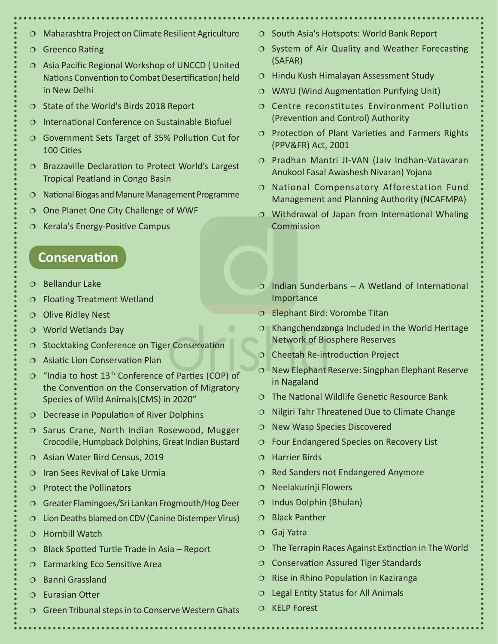- Maharashtra Project on Climate Resilient Agriculture
- O Greenco Rating
- $O$  Asia Pacific Regional Workshop of UNCCD (United Nations Convention to Combat Desertification) held in New Delhi
- $\circ$  State of the World's Birds 2018 Report
- $\circ$  International Conference on Sustainable Biofuel
- Government Sets Target of 35% Pollution Cut for 100 Cities
- O Brazzaville Declaration to Protect World's Largest Tropical Peatland in Congo Basin
- $O$  National Biogas and Manure Management Programme
- One Planet One City Challenge of WWF
- $\circ$  Kerala's Energy-Positive Campus

#### **Conservation**

- $O$  Bellandur Lake
- Floating Treatment Wetland
- O Olive Ridley Nest
- World Wetlands Day
- O Stocktaking Conference on Tiger Conservation
- $\circ$  Asiatic Lion Conservation Plan
- $\degree$  "India to host 13<sup>th</sup> Conference of Parties (COP) of the Convention on the Conservation of Migratory Species of Wild Animals(CMS) in 2020"
- $O$  Decrease in Population of River Dolphins
- O Sarus Crane, North Indian Rosewood, Mugger Crocodile, Humpback Dolphins, Great Indian Bustard
- O Asian Water Bird Census, 2019
- $O$  Iran Sees Revival of Lake Urmia
- $\circ$  Protect the Pollinators
- Greater Flamingoes/Sri Lankan Frogmouth/Hog Deer
- Lion Deaths blamed on CDV (Canine Distemper Virus)
- O Hornbill Watch
- $\circ$  Black Spotted Turtle Trade in Asia Report
- $\circ$  Earmarking Eco Sensitive Area
- $O$  Banni Grassland
- Eurasian Otter
- $\circ$  Green Tribunal steps in to Conserve Western Ghats
- $\circ$  South Asia's Hotspots: World Bank Report
- $\circ$  System of Air Quality and Weather Forecasting (SAFAR)
- $\circ$  Hindu Kush Himalayan Assessment Study
- WAYU (Wind Augmentation Purifying Unit)
- Centre reconstitutes Environment Pollution (Prevention and Control) Authority
- $O$  Protection of Plant Varieties and Farmers Rights (PPV&FR) Act, 2001
- Pradhan Mantri JI-VAN (Jaiv Indhan-Vatavaran Anukool Fasal Awashesh Nivaran) Yojana
- National Compensatory Afforestation Fund Management and Planning Authority (NCAFMPA)
- Withdrawal of Japan from International Whaling Commission
- $\Omega$  Indian Sunderbans A Wetland of International Importance
- Elephant Bird: Vorombe Titan
- $\circ$  Khangchendzonga Included in the World Heritage Network of Biosphere Reserves
- $O$  Cheetah Re-introduction Project
- New Elephant Reserve: Singphan Elephant Reserve in Nagaland
- $\circ$  The National Wildlife Genetic Resource Bank
- $\circ$  Nilgiri Tahr Threatened Due to Climate Change
- $O$  New Wasp Species Discovered
- Four Endangered Species on Recovery List
- Harrier Birds
- $\circ$  Red Sanders not Endangered Anymore
- Neelakurinji Flowers
- $\circ$  Indus Dolphin (Bhulan)
- $O$  Black Panther
- Gaj Yatra
- $\circ$  The Terrapin Races Against Extinction in The World
- $O$  Conservation Assured Tiger Standards
- $\circ$  Rise in Rhino Population in Kaziranga
- $\circ$  Legal Entity Status for All Animals
- O KELP Forest